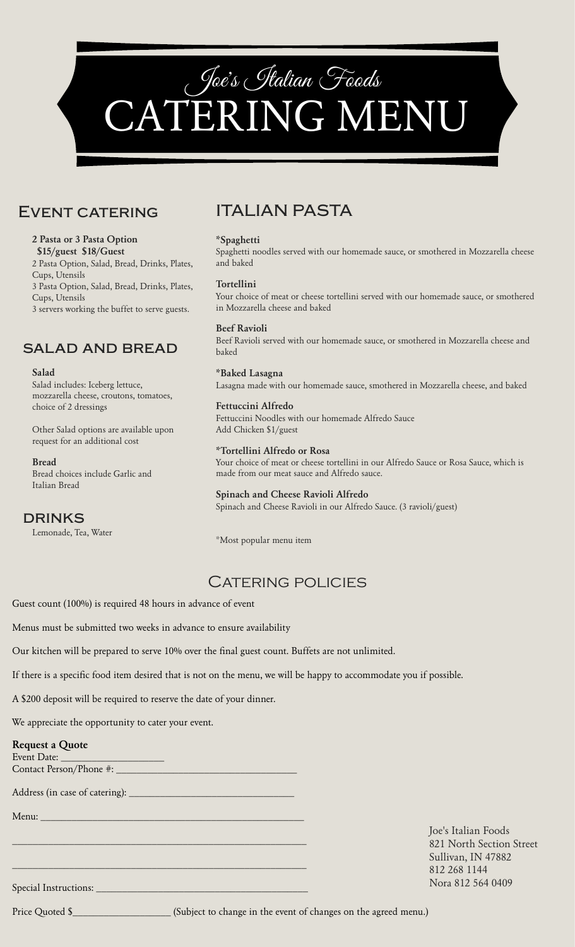

### Event catering

#### **2 Pasta or 3 Pasta Option \$15/guest \$18/Guest** 2 Pasta Option, Salad, Bread, Drinks, Plates, Cups, Utensils 3 Pasta Option, Salad, Bread, Drinks, Plates, Cups, Utensils 3 servers working the buffet to serve guests.

### salad and bread

#### **Salad**

Salad includes: Iceberg lettuce, mozzarella cheese, croutons, tomatoes, choice of 2 dressings

Other Salad options are available upon request for an additional cost

#### **Bread**

Bread choices include Garlic and Italian Bread

#### **DRINKS**

Lemonade, Tea, Water

## ITALIAN PASTA

#### **\*Spaghetti**

Spaghetti noodles served with our homemade sauce, or smothered in Mozzarella cheese and baked

#### **Tortellini**

Your choice of meat or cheese tortellini served with our homemade sauce, or smothered in Mozzarella cheese and baked

#### **Beef Ravioli** Beef Ravioli served with our homemade sauce, or smothered in Mozzarella cheese and baked

**\*Baked Lasagna** Lasagna made with our homemade sauce, smothered in Mozzarella cheese, and baked

**Fettuccini Alfredo** Fettuccini Noodles with our homemade Alfredo Sauce Add Chicken \$1/guest

**\*Tortellini Alfredo or Rosa** Your choice of meat or cheese tortellini in our Alfredo Sauce or Rosa Sauce, which is made from our meat sauce and Alfredo sauce.

#### **Spinach and Cheese Ravioli Alfredo** Spinach and Cheese Ravioli in our Alfredo Sauce. (3 ravioli/guest)

\*Most popular menu item

### CATERING POLICIES

Guest count (100%) is required 48 hours in advance of event

Menus must be submitted two weeks in advance to ensure availability

Our kitchen will be prepared to serve 10% over the final guest count. Buffets are not unlimited.

If there is a specific food item desired that is not on the menu, we will be happy to accommodate you if possible.

A \$200 deposit will be required to reserve the date of your dinner.

We appreciate the opportunity to cater your event.

| <b>Request a Quote</b><br>$Event$ Date: $\_$                                                                            |                                                 |
|-------------------------------------------------------------------------------------------------------------------------|-------------------------------------------------|
|                                                                                                                         |                                                 |
|                                                                                                                         |                                                 |
| Menu: <u>Alexandria de la contrada de la contrada de la contrada de la contrada de la contrada de la contrada de la</u> |                                                 |
|                                                                                                                         | Joe's Italian Foods<br>821 North Section Street |
|                                                                                                                         | Sullivan, IN 47882                              |
|                                                                                                                         | 812 268 1144                                    |
|                                                                                                                         | Nora 812 564 0409                               |

Price Quoted \$\_\_\_\_\_\_\_\_\_\_\_\_\_\_\_\_\_\_\_ (Subject to change in the event of changes on the agreed menu.)